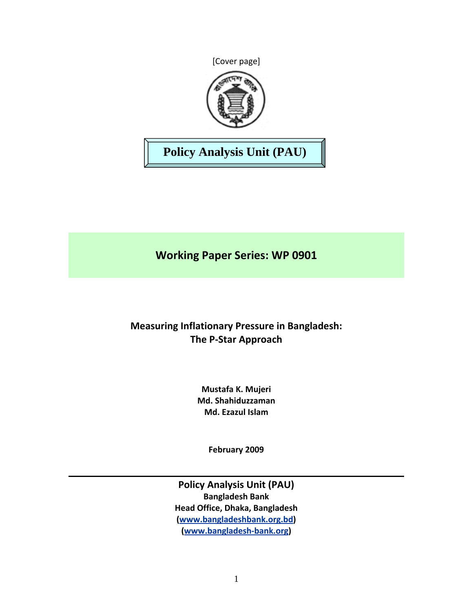[Cover page]



# **Policy Analysis Unit (PAU)**

**Working Paper Series: WP 0901**

# **Measuring Inflationary Pressure in Bangladesh: The P‐Star Approach**

**Mustafa K. Mujeri Md. Shahiduzzaman Md. Ezazul Islam**

**February 2009**

**Policy Analysis Unit (PAU) Bangladesh Bank Head Office, Dhaka, Bangladesh (www.bangladeshbank.org.bd) (www.bangladesh‐bank.org)**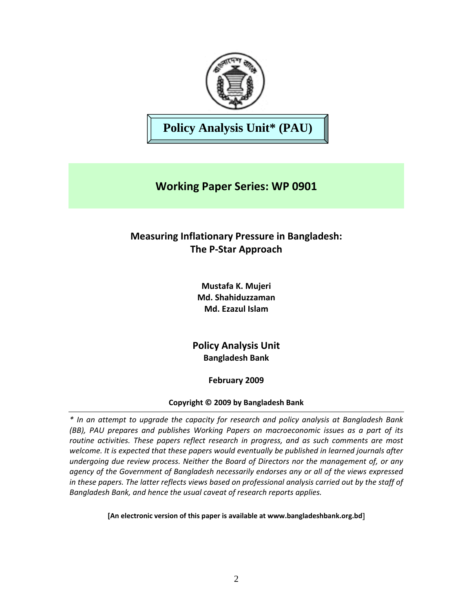

**Policy Analysis Unit\* (PAU)** 

# **Working Paper Series: WP 0901**

## **Measuring Inflationary Pressure in Bangladesh: The P‐Star Approach**

**Mustafa K. Mujeri Md. Shahiduzzaman Md. Ezazul Islam**

**Policy Analysis Unit Bangladesh Bank**

**February 2009**

## **Copyright © 2009 by Bangladesh Bank**

*\* In an attempt to upgrade the capacity for research and policy analysis at Bangladesh Bank (BB), PAU prepares and publishes Working Papers on macroeconomic issues as a part of its routine activities. These papers reflect research in progress, and as such comments are most welcome. It is expected that these papers would eventually be published in learned journals after undergoing due review process. Neither the Board of Directors nor the management of, or any agency of the Government of Bangladesh necessarily endorses any or all of the views expressed in these papers. The latter reflects views based on professional analysis carried out by the staff of Bangladesh Bank, and hence the usual caveat of research reports applies.*

**[An electronic version of this paper is available at www.bangladeshbank.org.bd**]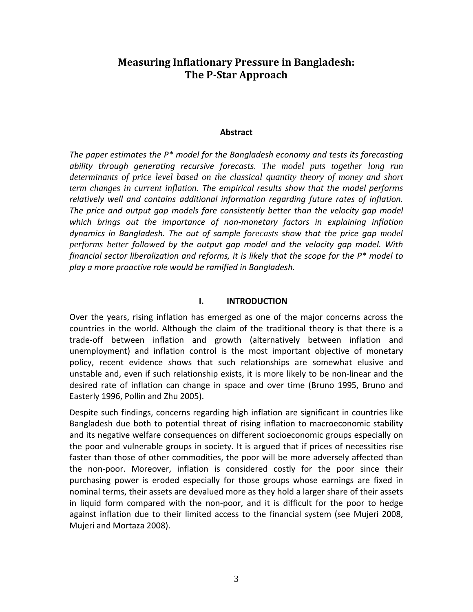## **Measuring Inflationary Pressure in Bangladesh: The PStar Approach**

## **Abstract**

*The paper estimates the P\* model for the Bangladesh economy and tests its forecasting ability through generating recursive forecasts. The model puts together long run determinants of price level based on the classical quantity theory of money and short term changes in current inflation. The empirical results show that the model performs relatively well and contains additional information regarding future rates of inflation. The price and output gap models fare consistently better than the velocity gap model which brings out the importance of non‐monetary factors in explaining inflation dynamics in Bangladesh. The out of sample forecasts show that the price gap model performs better followed by the output gap model and the velocity gap model. With financial sector liberalization and reforms, it is likely that the scope for the P\* model to play a more proactive role would be ramified in Bangladesh.* 

## **I. INTRODUCTION**

Over the years, rising inflation has emerged as one of the major concerns across the countries in the world. Although the claim of the traditional theory is that there is a trade‐off between inflation and growth (alternatively between inflation and unemployment) and inflation control is the most important objective of monetary policy, recent evidence shows that such relationships are somewhat elusive and unstable and, even if such relationship exists, it is more likely to be non-linear and the desired rate of inflation can change in space and over time (Bruno 1995, Bruno and Easterly 1996, Pollin and Zhu 2005).

Despite such findings, concerns regarding high inflation are significant in countries like Bangladesh due both to potential threat of rising inflation to macroeconomic stability and its negative welfare consequences on different socioeconomic groups especially on the poor and vulnerable groups in society. It is argued that if prices of necessities rise faster than those of other commodities, the poor will be more adversely affected than the non‐poor. Moreover, inflation is considered costly for the poor since their purchasing power is eroded especially for those groups whose earnings are fixed in nominal terms, their assets are devalued more as they hold a larger share of their assets in liquid form compared with the non‐poor, and it is difficult for the poor to hedge against inflation due to their limited access to the financial system (see Mujeri 2008, Mujeri and Mortaza 2008).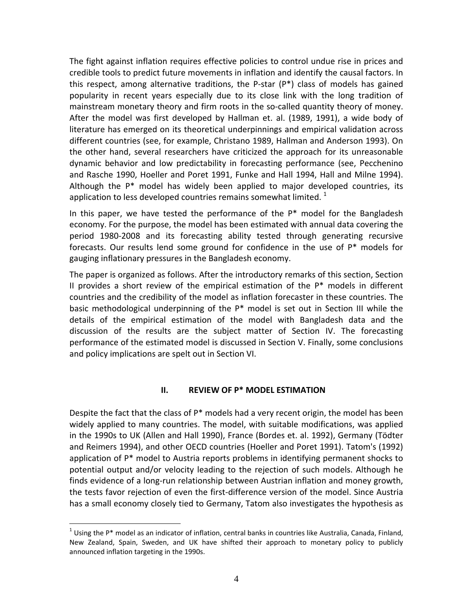The fight against inflation requires effective policies to control undue rise in prices and credible tools to predict future movements in inflation and identify the causal factors. In this respect, among alternative traditions, the P‐star (P\*) class of models has gained popularity in recent years especially due to its close link with the long tradition of mainstream monetary theory and firm roots in the so-called quantity theory of money. After the model was first developed by Hallman et. al. (1989, 1991), a wide body of literature has emerged on its theoretical underpinnings and empirical validation across different countries (see, for example, Christano 1989, Hallman and Anderson 1993). On the other hand, several researchers have criticized the approach for its unreasonable dynamic behavior and low predictability in forecasting performance (see, Pecchenino and Rasche 1990, Hoeller and Poret 1991, Funke and Hall 1994, Hall and Milne 1994). Although the P\* model has widely been applied to major developed countries, its application to less developed countries remains somewhat limited.  $^1$ 

In this paper, we have tested the performance of the  $P^*$  model for the Bangladesh economy. For the purpose, the model has been estimated with annual data covering the period 1980‐2008 and its forecasting ability tested through generating recursive forecasts. Our results lend some ground for confidence in the use of  $P^*$  models for gauging inflationary pressures in the Bangladesh economy.

The paper is organized as follows. After the introductory remarks of this section, Section II provides a short review of the empirical estimation of the  $P^*$  models in different countries and the credibility of the model as inflation forecaster in these countries. The basic methodological underpinning of the P\* model is set out in Section III while the details of the empirical estimation of the model with Bangladesh data and the discussion of the results are the subject matter of Section IV. The forecasting performance of the estimated model is discussed in Section V. Finally, some conclusions and policy implications are spelt out in Section VI.

## **II. REVIEW OF P\* MODEL ESTIMATION**

Despite the fact that the class of  $P^*$  models had a very recent origin, the model has been widely applied to many countries. The model, with suitable modifications, was applied in the 1990s to UK (Allen and Hall 1990), France (Bordes et. al. 1992), Germany (Tödter and Reimers 1994), and other OECD countries (Hoeller and Poret 1991). Tatom's (1992) application of  $P^*$  model to Austria reports problems in identifying permanent shocks to potential output and/or velocity leading to the rejection of such models. Although he finds evidence of a long-run relationship between Austrian inflation and money growth, the tests favor rejection of even the first‐difference version of the model. Since Austria has a small economy closely tied to Germany, Tatom also investigates the hypothesis as

 $\overline{a}$  $1$  Using the P\* model as an indicator of inflation, central banks in countries like Australia, Canada, Finland, New Zealand, Spain, Sweden, and UK have shifted their approach to monetary policy to publicly announced inflation targeting in the 1990s.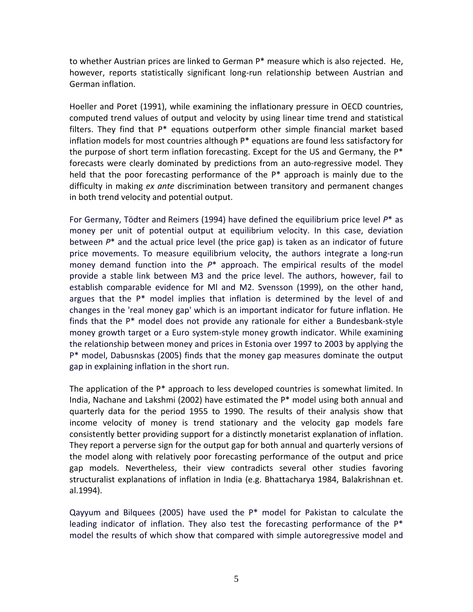to whether Austrian prices are linked to German P\* measure which is also rejected. He, however, reports statistically significant long-run relationship between Austrian and German inflation.

Hoeller and Poret (1991), while examining the inflationary pressure in OECD countries, computed trend values of output and velocity by using linear time trend and statistical filters. They find that P\* equations outperform other simple financial market based inflation models for most countries although P\* equations are found less satisfactory for the purpose of short term inflation forecasting. Except for the US and Germany, the  $P^*$ forecasts were clearly dominated by predictions from an auto-regressive model. They held that the poor forecasting performance of the P<sup>\*</sup> approach is mainly due to the difficulty in making *ex ante* discrimination between transitory and permanent changes in both trend velocity and potential output.

For Germany, Tödter and Reimers (1994) have defined the equilibrium price level *P*\* as money per unit of potential output at equilibrium velocity. In this case, deviation between *P*\* and the actual price level (the price gap) is taken as an indicator of future price movements. To measure equilibrium velocity, the authors integrate a long-run money demand function into the *P*\* approach. The empirical results of the model provide a stable link between M3 and the price level. The authors, however, fail to establish comparable evidence for Ml and M2. Svensson (1999), on the other hand, argues that the P\* model implies that inflation is determined by the level of and changes in the 'real money gap' which is an important indicator for future inflation. He finds that the P\* model does not provide any rationale for either a Bundesbank‐style money growth target or a Euro system‐style money growth indicator. While examining the relationship between money and prices in Estonia over 1997 to 2003 by applying the P\* model, Dabusnskas (2005) finds that the money gap measures dominate the output gap in explaining inflation in the short run.

The application of the  $P^*$  approach to less developed countries is somewhat limited. In India, Nachane and Lakshmi (2002) have estimated the P\* model using both annual and quarterly data for the period 1955 to 1990. The results of their analysis show that income velocity of money is trend stationary and the velocity gap models fare consistently better providing support for a distinctly monetarist explanation of inflation. They report a perverse sign for the output gap for both annual and quarterly versions of the model along with relatively poor forecasting performance of the output and price gap models. Nevertheless, their view contradicts several other studies favoring structuralist explanations of inflation in India (e.g. Bhattacharya 1984, Balakrishnan et. al.1994).

Qayyum and Bilquees (2005) have used the P\* model for Pakistan to calculate the leading indicator of inflation. They also test the forecasting performance of the  $P^*$ model the results of which show that compared with simple autoregressive model and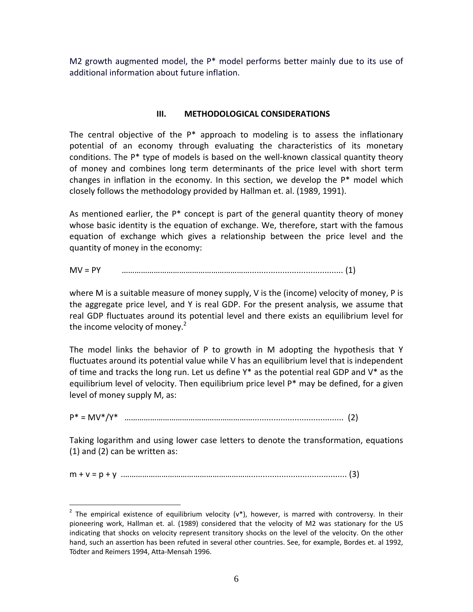M2 growth augmented model, the  $P^*$  model performs better mainly due to its use of additional information about future inflation.

## **III. METHODOLOGICAL CONSIDERATIONS**

The central objective of the  $P^*$  approach to modeling is to assess the inflationary potential of an economy through evaluating the characteristics of its monetary conditions. The P<sup>\*</sup> type of models is based on the well-known classical quantity theory of money and combines long term determinants of the price level with short term changes in inflation in the economy. In this section, we develop the P\* model which closely follows the methodology provided by Hallman et. al. (1989, 1991).

As mentioned earlier, the  $P^*$  concept is part of the general quantity theory of money whose basic identity is the equation of exchange. We, therefore, start with the famous equation of exchange which gives a relationship between the price level and the quantity of money in the economy:

MV = PY ……………………………………………………........................................ (1)

where M is a suitable measure of money supply, V is the (income) velocity of money, P is the aggregate price level, and Y is real GDP. For the present analysis, we assume that real GDP fluctuates around its potential level and there exists an equilibrium level for the income velocity of money.<sup>2</sup>

The model links the behavior of P to growth in M adopting the hypothesis that Y fluctuates around its potential value while V has an equilibrium level that is independent of time and tracks the long run. Let us define  $Y^*$  as the potential real GDP and  $V^*$  as the equilibrium level of velocity. Then equilibrium price level P\* may be defined, for a given level of money supply M, as:

P\* = MV\*/Y\* ……………………………………………………....................................... (2)

Taking logarithm and using lower case letters to denote the transformation, equations (1) and (2) can be written as:

m + v = p + y .……………………………………………………......................................... (3)

 $\overline{a}$ 

<sup>&</sup>lt;sup>2</sup> The empirical existence of equilibrium velocity ( $v^*$ ), however, is marred with controversy. In their pioneering work, Hallman et. al. (1989) considered that the velocity of M2 was stationary for the US indicating that shocks on velocity represent transitory shocks on the level of the velocity. On the other hand, such an assertion has been refuted in several other countries. See, for example, Bordes et. al 1992, Tödter and Reimers 1994, Atta‐Mensah 1996.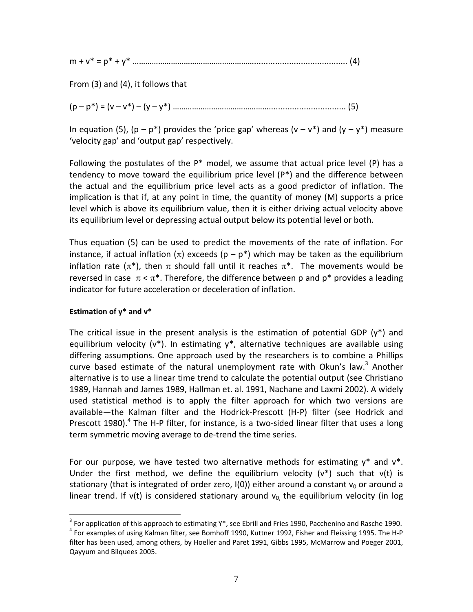| $\sim$ |  |  |  |  |
|--------|--|--|--|--|
|--------|--|--|--|--|

From (3) and (4), it follows that

(p – p\*) = (v – v\*) – (y – y\*) ………………………………………................................. (5)

In equation (5), ( $p - p^*$ ) provides the 'price gap' whereas ( $v - v^*$ ) and ( $v - v^*$ ) measure 'velocity gap' and 'output gap' respectively.

Following the postulates of the  $P^*$  model, we assume that actual price level (P) has a tendency to move toward the equilibrium price level (P\*) and the difference between the actual and the equilibrium price level acts as a good predictor of inflation. The implication is that if, at any point in time, the quantity of money (M) supports a price level which is above its equilibrium value, then it is either driving actual velocity above its equilibrium level or depressing actual output below its potential level or both.

Thus equation (5) can be used to predict the movements of the rate of inflation. For instance, if actual inflation  $(\pi)$  exceeds  $(p - p^*)$  which may be taken as the equilibrium inflation rate ( $\pi^*$ ), then  $\pi$  should fall until it reaches  $\pi^*$ . The movements would be reversed in case  $\pi < \pi^*$ . Therefore, the difference between p and p<sup>\*</sup> provides a leading indicator for future acceleration or deceleration of inflation.

## **Estimation of y\* and v\***

 $\overline{a}$ 

The critical issue in the present analysis is the estimation of potential GDP  $(v^*)$  and equilibrium velocity ( $v^*$ ). In estimating  $v^*$ , alternative techniques are available using differing assumptions. One approach used by the researchers is to combine a Phillips curve based estimate of the natural unemployment rate with Okun's law.<sup>3</sup> Another alternative is to use a linear time trend to calculate the potential output (see Christiano 1989, Hannah and James 1989, Hallman et. al. 1991, Nachane and Laxmi 2002). A widely used statistical method is to apply the filter approach for which two versions are available—the Kalman filter and the Hodrick‐Prescott (H‐P) filter (see Hodrick and Prescott 1980).<sup>4</sup> The H-P filter, for instance, is a two-sided linear filter that uses a long term symmetric moving average to de‐trend the time series.

For our purpose, we have tested two alternative methods for estimating  $y^*$  and  $v^*$ . Under the first method, we define the equilibrium velocity ( $v^*$ ) such that  $v(t)$  is stationary (that is integrated of order zero, I(0)) either around a constant  $v_0$  or around a linear trend. If v(t) is considered stationary around  $v_0$ , the equilibrium velocity (in log

<sup>&</sup>lt;sup>3</sup> For application of this approach to estimating Y\*, see Ebrill and Fries 1990, Pacchenino and Rasche 1990. 4 For examples of using Kalman filter, see Bomhoff 1990, Kuttner 1992, Fisher and Fleissing 1995. The H‐P filter has been used, among others, by Hoeller and Paret 1991, Gibbs 1995, McMarrow and Poeger 2001, Qayyum and Bilquees 2005.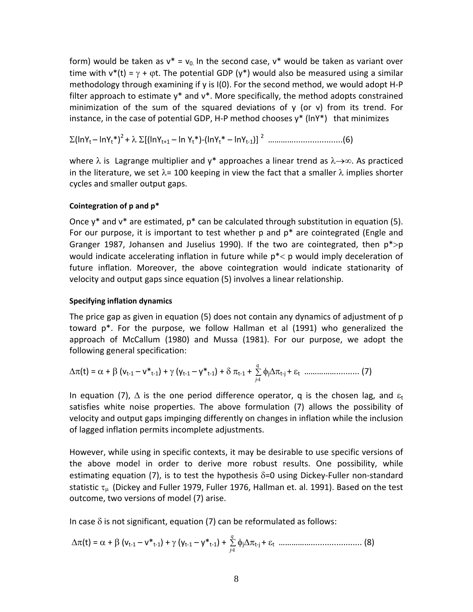form) would be taken as  $v^* = v_0$  In the second case,  $v^*$  would be taken as variant over time with  $v^*(t) = \gamma + \varphi t$ . The potential GDP ( $y^*$ ) would also be measured using a similar methodology through examining if y is I(0). For the second method, we would adopt H‐P filter approach to estimate  $y^*$  and  $v^*$ . More specifically, the method adopts constrained minimization of the sum of the squared deviations of  $y$  (or  $v$ ) from its trend. For instance, in the case of potential GDP, H-P method chooses  $y^*$  (ln $Y^*$ ) that minimizes

Σ(lnYt – lnYt\*)<sup>2</sup> + λ Σ[(lnYt+1 – ln Yt\*)‐(lnYt\* – lnYt‐1)] <sup>2</sup> ………….....................(6)

where  $\lambda$  is Lagrange multiplier and y\* approaches a linear trend as  $\lambda \rightarrow \infty$ . As practiced in the literature, we set  $\lambda$ = 100 keeping in view the fact that a smaller  $\lambda$  implies shorter cycles and smaller output gaps.

## **Cointegration of p and p\***

Once  $v^*$  and  $v^*$  are estimated,  $p^*$  can be calculated through substitution in equation (5). For our purpose, it is important to test whether  $p$  and  $p^*$  are cointegrated (Engle and Granger 1987, Johansen and Juselius 1990). If the two are cointegrated, then  $p^*$ >p would indicate accelerating inflation in future while p\*< p would imply deceleration of future inflation. Moreover, the above cointegration would indicate stationarity of velocity and output gaps since equation (5) involves a linear relationship.

## **Specifying inflation dynamics**

The price gap as given in equation (5) does not contain any dynamics of adjustment of p toward p\*. For the purpose, we follow Hallman et al (1991) who generalized the approach of McCallum (1980) and Mussa (1981). For our purpose, we adopt the following general specification:

$$
\Delta \pi(t) = \alpha + \beta \left( v_{t-1} - v_{t-1}^* \right) + \gamma \left( v_{t-1} - v_{t-1}^* \right) + \delta \pi_{t-1} + \sum_{j=1}^q \phi_j \Delta \pi_{t-j} + \varepsilon_t \dots \dots \dots \dots \dots \dots \dots \dots \tag{7}
$$

In equation (7),  $\Delta$  is the one period difference operator, q is the chosen lag, and  $\varepsilon_t$ satisfies white noise properties. The above formulation (7) allows the possibility of velocity and output gaps impinging differently on changes in inflation while the inclusion of lagged inflation permits incomplete adjustments.

However, while using in specific contexts, it may be desirable to use specific versions of the above model in order to derive more robust results. One possibility, while estimating equation (7), is to test the hypothesis  $\delta$ =0 using Dickey-Fuller non-standard statistic  $\tau_{\mu}$  (Dickey and Fuller 1979, Fuller 1976, Hallman et. al. 1991). Based on the test outcome, two versions of model (7) arise.

In case  $\delta$  is not significant, equation (7) can be reformulated as follows:

∆π(t) = α + β (vt‐<sup>1</sup> – v\*t‐1) + γ (yt‐<sup>1</sup> – y\*t‐1) + ∑ = *q j* 1 φj∆πt‐<sup>j</sup> + ε<sup>t</sup> ……………...................... (8)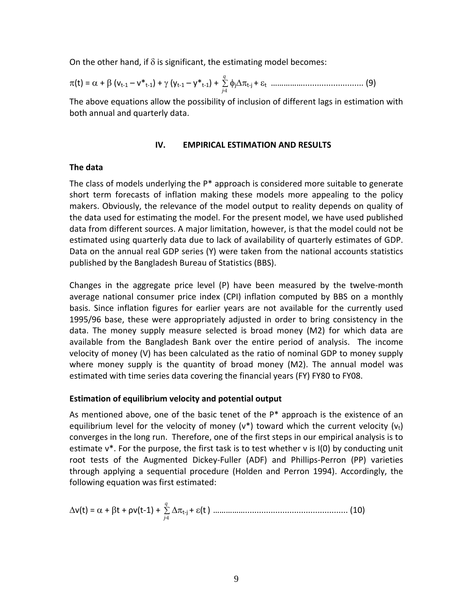On the other hand, if  $\delta$  is significant, the estimating model becomes:

π(t) = α + β (vt‐<sup>1</sup> – v\*t‐1) + γ (yt‐<sup>1</sup> – y\*t‐1) + ∑ = *q j* 1 φj∆πt‐<sup>j</sup> + ε<sup>t</sup> …………….......................... (9)

The above equations allow the possibility of inclusion of different lags in estimation with both annual and quarterly data.

## **IV. EMPIRICAL ESTIMATION AND RESULTS**

## **The data**

The class of models underlying the  $P^*$  approach is considered more suitable to generate short term forecasts of inflation making these models more appealing to the policy makers. Obviously, the relevance of the model output to reality depends on quality of the data used for estimating the model. For the present model, we have used published data from different sources. A major limitation, however, is that the model could not be estimated using quarterly data due to lack of availability of quarterly estimates of GDP. Data on the annual real GDP series (Y) were taken from the national accounts statistics published by the Bangladesh Bureau of Statistics (BBS).

Changes in the aggregate price level  $(P)$  have been measured by the twelve-month average national consumer price index (CPI) inflation computed by BBS on a monthly basis. Since inflation figures for earlier years are not available for the currently used 1995/96 base, these were appropriately adjusted in order to bring consistency in the data. The money supply measure selected is broad money (M2) for which data are available from the Bangladesh Bank over the entire period of analysis. The income velocity of money (V) has been calculated as the ratio of nominal GDP to money supply where money supply is the quantity of broad money (M2). The annual model was estimated with time series data covering the financial years (FY) FY80 to FY08.

## **Estimation of equilibrium velocity and potential output**

As mentioned above, one of the basic tenet of the  $P^*$  approach is the existence of an equilibrium level for the velocity of money ( $v^*$ ) toward which the current velocity ( $v_t$ ) converges in the long run. Therefore, one of the first steps in our empirical analysis is to estimate v\*. For the purpose, the first task is to test whether v is I(0) by conducting unit root tests of the Augmented Dickey‐Fuller (ADF) and Phillips‐Perron (PP) varieties through applying a sequential procedure (Holden and Perron 1994). Accordingly, the following equation was first estimated:

∆v(t) = α + βt + ρv(t‐1) + ∑ = *q j* 1 ∆πt‐<sup>j</sup> + ε(t) ……………............................................ (10)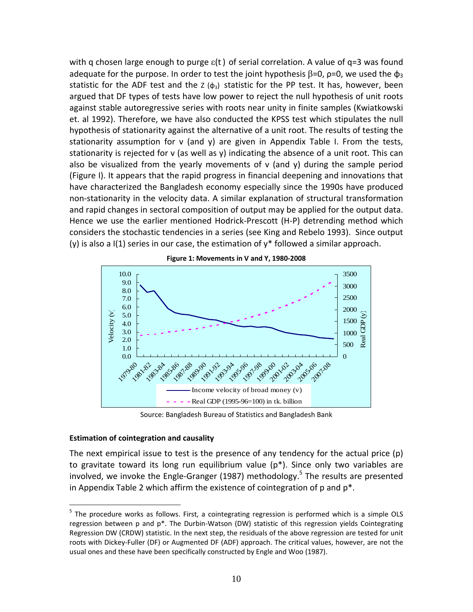with q chosen large enough to purge  $\varepsilon(t)$  of serial correlation. A value of q=3 was found adequate for the purpose. In order to test the joint hypothesis  $\beta = 0$ ,  $\rho = 0$ , we used the  $\phi_3$ statistic for the ADF test and the  $Z(\phi_3)$  statistic for the PP test. It has, however, been argued that DF types of tests have low power to reject the null hypothesis of unit roots against stable autoregressive series with roots near unity in finite samples (Kwiatkowski et. al 1992). Therefore, we have also conducted the KPSS test which stipulates the null hypothesis of stationarity against the alternative of a unit root. The results of testing the stationarity assumption for v (and y) are given in Appendix Table I. From the tests, stationarity is rejected for v (as well as y) indicating the absence of a unit root. This can also be visualized from the yearly movements of  $v$  (and  $y$ ) during the sample period (Figure I). It appears that the rapid progress in financial deepening and innovations that have characterized the Bangladesh economy especially since the 1990s have produced non‐stationarity in the velocity data. A similar explanation of structural transformation and rapid changes in sectoral composition of output may be applied for the output data. Hence we use the earlier mentioned Hodrick‐Prescott (H‐P) detrending method which considers the stochastic tendencies in a series (see King and Rebelo 1993). Since output (y) is also a  $I(1)$  series in our case, the estimation of  $y^*$  followed a similar approach.



**Figure 1: Movements in V and Y, 1980‐2008**

Source: Bangladesh Bureau of Statistics and Bangladesh Bank

#### **Estimation of cointegration and causality**

 $\overline{a}$ 

The next empirical issue to test is the presence of any tendency for the actual price (p) to gravitate toward its long run equilibrium value (p\*). Since only two variables are involved, we invoke the Engle-Granger (1987) methodology.<sup>5</sup> The results are presented in Appendix Table 2 which affirm the existence of cointegration of  $p$  and  $p^*$ .

<sup>&</sup>lt;sup>5</sup> The procedure works as follows. First, a cointegrating regression is performed which is a simple OLS regression between p and p<sup>\*</sup>. The Durbin-Watson (DW) statistic of this regression yields Cointegrating Regression DW (CRDW) statistic. In the next step, the residuals of the above regression are tested for unit roots with Dickey‐Fuller (DF) or Augmented DF (ADF) approach. The critical values, however, are not the usual ones and these have been specifically constructed by Engle and Woo (1987).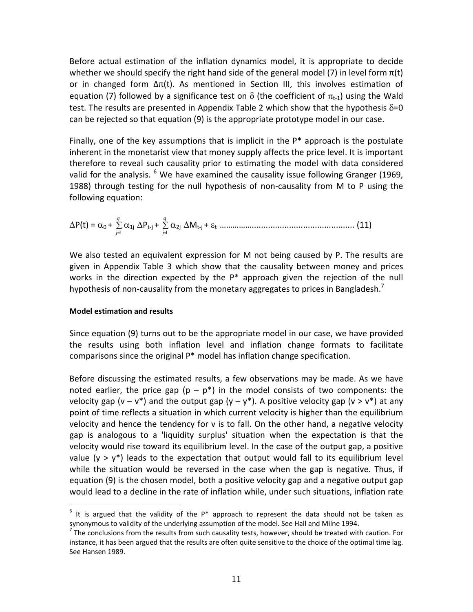Before actual estimation of the inflation dynamics model, it is appropriate to decide whether we should specify the right hand side of the general model (7) in level form  $\pi(t)$ or in changed form  $Δπ(t)$ . As mentioned in Section III, this involves estimation of equation (7) followed by a significance test on  $\delta$  (the coefficient of  $\pi_{t-1}$ ) using the Wald test. The results are presented in Appendix Table 2 which show that the hypothesis  $\delta = 0$ can be rejected so that equation (9) is the appropriate prototype model in our case.

Finally, one of the key assumptions that is implicit in the  $P^*$  approach is the postulate inherent in the monetarist view that money supply affects the price level. It is important therefore to reveal such causality prior to estimating the model with data considered valid for the analysis.  $^6$  We have examined the causality issue following Granger (1969, 1988) through testing for the null hypothesis of non‐causality from M to P using the following equation:

∆P(t) = α<sup>0</sup> + ∑ = *q j* 1 α1j ∆Pt‐<sup>j</sup> + ∑ = *q j* 1 α2j ∆Mt‐<sup>j</sup> + ε<sup>t</sup> ……………............................................ (11)

We also tested an equivalent expression for M not being caused by P. The results are given in Appendix Table 3 which show that the causality between money and prices works in the direction expected by the P\* approach given the rejection of the null hypothesis of non-causality from the monetary aggregates to prices in Bangladesh.<sup>7</sup>

## **Model estimation and results**

 $\overline{a}$ 

Since equation (9) turns out to be the appropriate model in our case, we have provided the results using both inflation level and inflation change formats to facilitate comparisons since the original P\* model has inflation change specification.

Before discussing the estimated results, a few observations may be made. As we have noted earlier, the price gap ( $p - p^*$ ) in the model consists of two components: the velocity gap (v – v\*) and the output gap (y – y\*). A positive velocity gap (v > v\*) at any point of time reflects a situation in which current velocity is higher than the equilibrium velocity and hence the tendency for v is to fall. On the other hand, a negative velocity gap is analogous to a 'liquidity surplus' situation when the expectation is that the velocity would rise toward its equilibrium level. In the case of the output gap, a positive value ( $y > y^*$ ) leads to the expectation that output would fall to its equilibrium level while the situation would be reversed in the case when the gap is negative. Thus, if equation (9) is the chosen model, both a positive velocity gap and a negative output gap would lead to a decline in the rate of inflation while, under such situations, inflation rate

 $<sup>6</sup>$  It is argued that the validity of the P\* approach to represent the data should not be taken as</sup> synonymous to validity of the underlying assumption of the model. See Hall and Milne 1994.<br><sup>7</sup> The conclusions from the results from such causality tests, however, should be treated with caution. For

instance, it has been argued that the results are often quite sensitive to the choice of the optimal time lag. See Hansen 1989.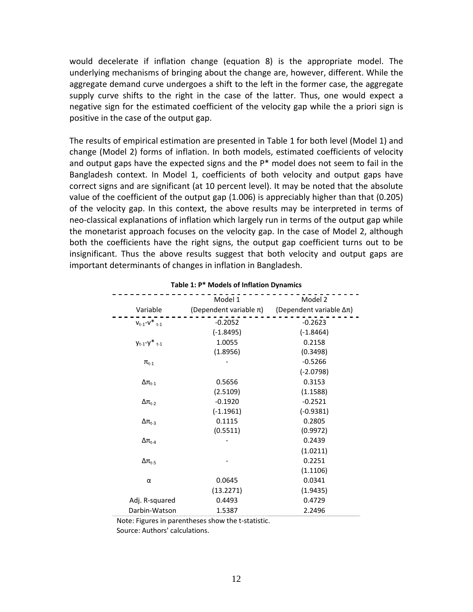would decelerate if inflation change (equation 8) is the appropriate model. The underlying mechanisms of bringing about the change are, however, different. While the aggregate demand curve undergoes a shift to the left in the former case, the aggregate supply curve shifts to the right in the case of the latter. Thus, one would expect a negative sign for the estimated coefficient of the velocity gap while the a priori sign is positive in the case of the output gap.

The results of empirical estimation are presented in Table 1 for both level (Model 1) and change (Model 2) forms of inflation. In both models, estimated coefficients of velocity and output gaps have the expected signs and the P\* model does not seem to fail in the Bangladesh context. In Model 1, coefficients of both velocity and output gaps have correct signs and are significant (at 10 percent level). It may be noted that the absolute value of the coefficient of the output gap (1.006) is appreciably higher than that (0.205) of the velocity gap. In this context, the above results may be interpreted in terms of neo-classical explanations of inflation which largely run in terms of the output gap while the monetarist approach focuses on the velocity gap. In the case of Model 2, although both the coefficients have the right signs, the output gap coefficient turns out to be insignificant. Thus the above results suggest that both velocity and output gaps are important determinants of changes in inflation in Bangladesh.

|                                | Model 1                     | Model 2                 |
|--------------------------------|-----------------------------|-------------------------|
| Variable                       | (Dependent variable $\pi$ ) | (Dependent variable Δπ) |
| $V_{t-1}-V^*$ <sub>t-1</sub>   | $-0.2052$                   | $-0.2623$               |
|                                | $(-1.8495)$                 | $(-1.8464)$             |
| $y_{t-1} - y^*$ <sub>t-1</sub> | 1.0055                      | 0.2158                  |
|                                | (1.8956)                    | (0.3498)                |
| $\pi_{t-1}$                    |                             | $-0.5266$               |
|                                |                             | $(-2.0798)$             |
| $\Delta \pi_{t-1}$             | 0.5656                      | 0.3153                  |
|                                | (2.5109)                    | (1.1588)                |
| $\Delta \pi_{t-2}$             | $-0.1920$                   | $-0.2521$               |
|                                | $(-1.1961)$                 | $(-0.9381)$             |
| $\Delta \pi_{t-3}$             | 0.1115                      | 0.2805                  |
|                                | (0.5511)                    | (0.9972)                |
| $\Delta$ t <sub>t-4</sub>      |                             | 0.2439                  |
|                                |                             | (1.0211)                |
| $\Delta \pi_{t-5}$             |                             | 0.2251                  |
|                                |                             | (1.1106)                |
| α                              | 0.0645                      | 0.0341                  |
|                                | (13.2271)                   | (1.9435)                |
| Adj. R-squared                 | 0.4493                      | 0.4729                  |
| Darbin-Watson                  | 1.5387                      | 2.2496                  |

## **Table 1: P\* Models of Inflation Dynamics**

Note: Figures in parentheses show the t‐statistic.

Source: Authors' calculations.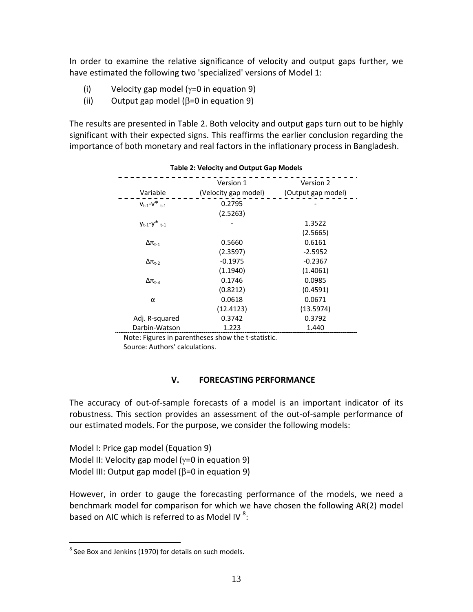In order to examine the relative significance of velocity and output gaps further, we have estimated the following two 'specialized' versions of Model 1:

- (i) Velocity gap model (γ=0 in equation 9)
- (ii) Output gap model ( $\beta$ =0 in equation 9)

The results are presented in Table 2. Both velocity and output gaps turn out to be highly significant with their expected signs. This reaffirms the earlier conclusion regarding the importance of both monetary and real factors in the inflationary process in Bangladesh.

| <b>Table 2: Velocity and Output Gap Models</b> |                                   |                                 |  |  |  |
|------------------------------------------------|-----------------------------------|---------------------------------|--|--|--|
| Variable                                       | Version 1<br>(Velocity gap model) | Version 2<br>(Output gap model) |  |  |  |
| $V_{t-1}$ - $V^*_{t-1}$                        | 0.2795<br>(2.5263)                |                                 |  |  |  |
| $V_{t-1} - V^*_{t-1}$                          |                                   | 1.3522<br>(2.5665)              |  |  |  |
| $\Delta$ $\pi_{\text{t-1}}$                    | 0.5660<br>(2.3597)                | 0.6161<br>$-2.5952$             |  |  |  |
| $\Delta$ $\pi_{t-2}$                           | $-0.1975$<br>(1.1940)             | $-0.2367$<br>(1.4061)           |  |  |  |
| $\Delta$ $\pi_{\text{t-3}}$                    | 0.1746<br>(0.8212)                | 0.0985<br>(0.4591)              |  |  |  |
| α                                              | 0.0618                            | 0.0671                          |  |  |  |
| Adj. R-squared                                 | (12.4123)<br>0.3742               | (13.5974)<br>0.3792             |  |  |  |
| Darbin-Watson                                  | 1.223                             | 1.440                           |  |  |  |

 Note: Figures in parentheses show the t‐statistic. Source: Authors' calculations.

## **V. FORECASTING PERFORMANCE**

The accuracy of out‐of‐sample forecasts of a model is an important indicator of its robustness. This section provides an assessment of the out‐of‐sample performance of our estimated models. For the purpose, we consider the following models:

Model I: Price gap model (Equation 9) Model II: Velocity gap model (γ=0 in equation 9) Model III: Output gap model ( $\beta$ =0 in equation 9)

However, in order to gauge the forecasting performance of the models, we need a benchmark model for comparison for which we have chosen the following AR(2) model based on AIC which is referred to as Model IV  $^8$ :

 $\overline{a}$ 

 $8$  See Box and Jenkins (1970) for details on such models.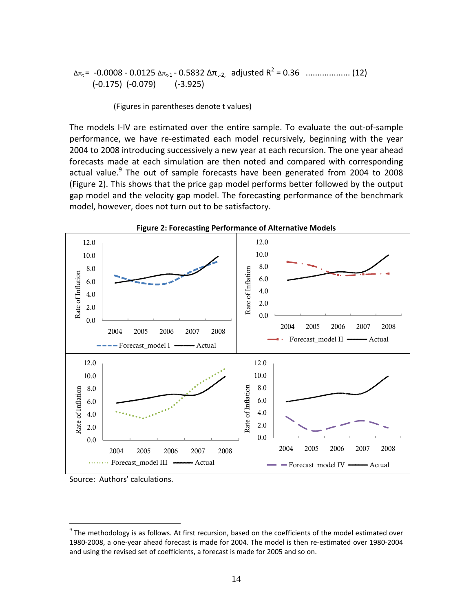```
  Δπt=  ‐0.0008 ‐ 0.0125 Δπt‐1 ‐ 0.5832 Δπt‐2,    adjusted R2 = 0.36   ................... (12)
(-0.175) (-0.079) (-3.925)
```
(Figures in parentheses denote t values)

The models I‐IV are estimated over the entire sample. To evaluate the out‐of‐sample performance, we have re‐estimated each model recursively, beginning with the year 2004 to 2008 introducing successively a new year at each recursion. The one year ahead forecasts made at each simulation are then noted and compared with corresponding actual value.<sup>9</sup> The out of sample forecasts have been generated from 2004 to 2008 (Figure 2). This shows that the price gap model performs better followed by the output gap model and the velocity gap model. The forecasting performance of the benchmark model, however, does not turn out to be satisfactory.



Source: Authors' calculations.

 $\overline{a}$ 

 $^{9}$  The methodology is as follows. At first recursion, based on the coefficients of the model estimated over 1980‐2008, a one‐year ahead forecast is made for 2004. The model is then re‐estimated over 1980‐2004 and using the revised set of coefficients, a forecast is made for 2005 and so on.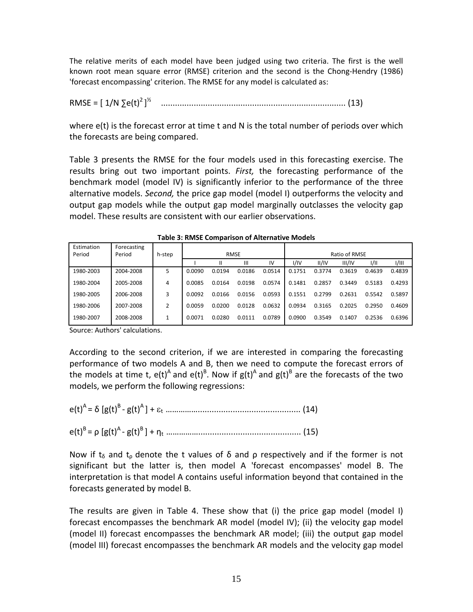The relative merits of each model have been judged using two criteria. The first is the well known root mean square error (RMSE) criterion and the second is the Chong-Hendry (1986) 'forecast encompassing' criterion. The RMSE for any model is calculated as:

RMSE = [ 1/N ∑e(t)<sup>2</sup> ] <sup>½</sup> ............................................................................... (13)

where e(t) is the forecast error at time t and N is the total number of periods over which the forecasts are being compared.

Table 3 presents the RMSE for the four models used in this forecasting exercise. The results bring out two important points. *First,* the forecasting performance of the benchmark model (model IV) is significantly inferior to the performance of the three alternative models. *Second,* the price gap model (model I) outperforms the velocity and output gap models while the output gap model marginally outclasses the velocity gap model. These results are consistent with our earlier observations.

| Estimation<br>Period | Forecasting<br>Period | h-step |        |        | <b>RMSE</b> |        |        |        | Ratio of RMSE |        |        |
|----------------------|-----------------------|--------|--------|--------|-------------|--------|--------|--------|---------------|--------|--------|
|                      |                       |        |        |        | Ш           | IV     | I/IV   | II/IV  | III/IV        | 1/11   | I/III  |
| 1980-2003            | 2004-2008             | 5      | 0.0090 | 0.0194 | 0.0186      | 0.0514 | 0.1751 | 0.3774 | 0.3619        | 0.4639 | 0.4839 |
| 1980-2004            | 2005-2008             | 4      | 0.0085 | 0.0164 | 0.0198      | 0.0574 | 0.1481 | 0.2857 | 0.3449        | 0.5183 | 0.4293 |
| 1980-2005            | 2006-2008             | 3      | 0.0092 | 0.0166 | 0.0156      | 0.0593 | 0.1551 | 0.2799 | 0.2631        | 0.5542 | 0.5897 |
| 1980-2006            | 2007-2008             | 2      | 0.0059 | 0.0200 | 0.0128      | 0.0632 | 0.0934 | 0.3165 | 0.2025        | 0.2950 | 0.4609 |
| 1980-2007            | 2008-2008             | 1      | 0.0071 | 0.0280 | 0.0111      | 0.0789 | 0.0900 | 0.3549 | 0.1407        | 0.2536 | 0.6396 |

**Table 3: RMSE Comparison of Alternative Models**

Source: Authors' calculations.

According to the second criterion, if we are interested in comparing the forecasting performance of two models A and B, then we need to compute the forecast errors of the models at time t,  $e(t)^A$  and  $e(t)^B$ . Now if  $g(t)^A$  and  $g(t)^B$  are the forecasts of the two models, we perform the following regressions:

e(t)<sup>A</sup> = δ [g(t)<sup>B</sup> ‐ g(t)<sup>A</sup> ] + ε<sup>t</sup> ……………............................................ (14)

e(t)<sup>B</sup> = ρ [g(t)<sup>A</sup> ‐ g(t)<sup>B</sup> ] + η<sup>t</sup> ……………............................................ (15)

Now if t<sub>δ</sub> and t<sub>ρ</sub> denote the t values of  $\delta$  and  $\rho$  respectively and if the former is not significant but the latter is, then model A 'forecast encompasses' model B. The interpretation is that model A contains useful information beyond that contained in the forecasts generated by model B.

The results are given in Table 4. These show that (i) the price gap model (model I) forecast encompasses the benchmark AR model (model IV); (ii) the velocity gap model (model II) forecast encompasses the benchmark AR model; (iii) the output gap model (model III) forecast encompasses the benchmark AR models and the velocity gap model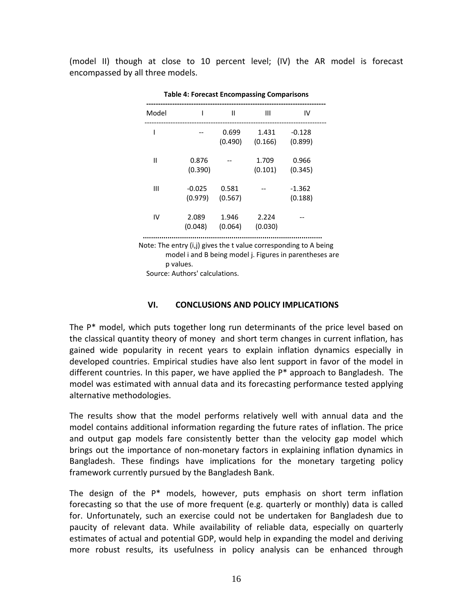(model II) though at close to 10 percent level; (IV) the AR model is forecast encompassed by all three models.

| Model        | I                        | $\mathbf{I}$     | $\mathbf{III}$   | IV                  |
|--------------|--------------------------|------------------|------------------|---------------------|
| ı            | $\overline{\phantom{m}}$ | 0.699<br>(0.490) | 1.431<br>(0.166) | $-0.128$<br>(0.899) |
| $\mathbf{I}$ | 0.876<br>(0.390)         | $-$              | 1.709<br>(0.101) | 0.966<br>(0.345)    |
| Ш            | $-0.025$<br>(0.979)      | 0.581<br>(0.567) |                  | $-1.362$<br>(0.188) |
| IV           | 2.089<br>(0.048)         | 1.946<br>(0.064) | 2.224<br>(0.030) |                     |

**Table 4: Forecast Encompassing Comparisons**

 Note: The entry (i,j) gives the t value corresponding to A being model i and B being model j. Figures in parentheses are p values.

Source: Authors' calculations.

#### **VI. CONCLUSIONS AND POLICY IMPLICATIONS**

The P\* model, which puts together long run determinants of the price level based on the classical quantity theory of money and short term changes in current inflation, has gained wide popularity in recent years to explain inflation dynamics especially in developed countries. Empirical studies have also lent support in favor of the model in different countries. In this paper, we have applied the  $P^*$  approach to Bangladesh. The model was estimated with annual data and its forecasting performance tested applying alternative methodologies.

The results show that the model performs relatively well with annual data and the model contains additional information regarding the future rates of inflation. The price and output gap models fare consistently better than the velocity gap model which brings out the importance of non‐monetary factors in explaining inflation dynamics in Bangladesh. These findings have implications for the monetary targeting policy framework currently pursued by the Bangladesh Bank.

The design of the P\* models, however, puts emphasis on short term inflation forecasting so that the use of more frequent (e.g. quarterly or monthly) data is called for. Unfortunately, such an exercise could not be undertaken for Bangladesh due to paucity of relevant data. While availability of reliable data, especially on quarterly estimates of actual and potential GDP, would help in expanding the model and deriving more robust results, its usefulness in policy analysis can be enhanced through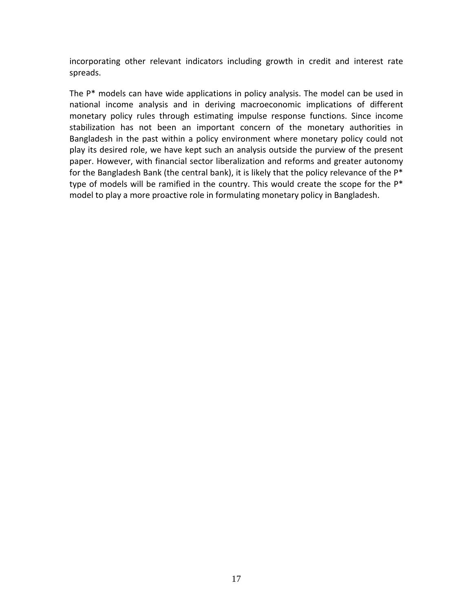incorporating other relevant indicators including growth in credit and interest rate spreads.

The P\* models can have wide applications in policy analysis. The model can be used in national income analysis and in deriving macroeconomic implications of different monetary policy rules through estimating impulse response functions. Since income stabilization has not been an important concern of the monetary authorities in Bangladesh in the past within a policy environment where monetary policy could not play its desired role, we have kept such an analysis outside the purview of the present paper. However, with financial sector liberalization and reforms and greater autonomy for the Bangladesh Bank (the central bank), it is likely that the policy relevance of the  $P^*$ type of models will be ramified in the country. This would create the scope for the P<sup>\*</sup> model to play a more proactive role in formulating monetary policy in Bangladesh.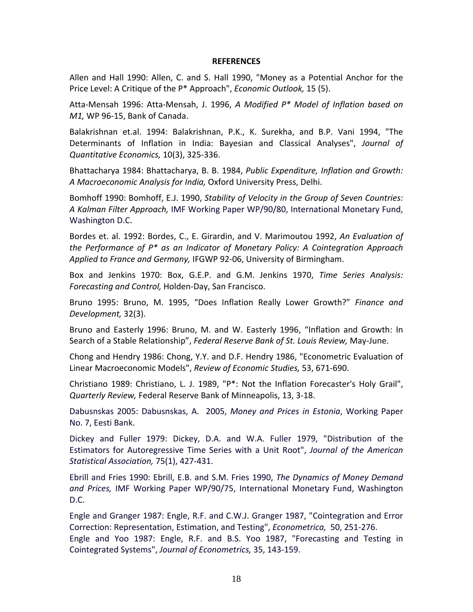#### **REFERENCES**

Allen and Hall 1990: Allen, C. and S. Hall 1990, "Money as a Potential Anchor for the Price Level: A Critique of the P\* Approach", *Economic Outlook,* 15 (5).

Atta‐Mensah 1996: Atta‐Mensah, J. 1996, *A Modified P\* Model of Inflation based on M1,* WP 96‐15, Bank of Canada.

Balakrishnan et.al. 1994: Balakrishnan, P.K., K. Surekha, and B.P. Vani 1994, "The Determinants of Inflation in India: Bayesian and Classical Analyses", *Journal of Quantitative Economics,* 10(3), 325‐336.

Bhattacharya 1984: Bhattacharya, B. B. 1984, *Public Expenditure, Inflation and Growth: A Macroeconomic Analysis for India,* Oxford University Press, Delhi.

Bomhoff 1990: Bomhoff, E.J. 1990, *Stability of Velocity in the Group of Seven Countries: A Kalman Filter Approach,* IMF Working Paper WP/90/80, International Monetary Fund, Washington D.C.

Bordes et. al. 1992: Bordes, C., E. Girardin, and V. Marimoutou 1992, *An Evaluation of the Performance of P\* as an Indicator of Monetary Policy: A Cointegration Approach Applied to France and Germany,* IFGWP 92‐06, University of Birmingham.

Box and Jenkins 1970: Box, G.E.P. and G.M. Jenkins 1970, *Time Series Analysis: Forecasting and Control,* Holden‐Day, San Francisco. 

Bruno 1995: Bruno, M. 1995, "Does Inflation Really Lower Growth?" *Finance and Development,* 32(3).

Bruno and Easterly 1996: Bruno, M. and W. Easterly 1996, "Inflation and Growth: In Search of a Stable Relationship", *Federal Reserve Bank of St. Louis Review,* May‐June.

Chong and Hendry 1986: Chong, Y.Y. and D.F. Hendry 1986, "Econometric Evaluation of Linear Macroeconomic Models", *Review of Economic Studies,* 53, 671‐690.

Christiano 1989: Christiano, L. J. 1989, "P\*: Not the Inflation Forecaster's Holy Grail", *Quarterly Review,* Federal Reserve Bank of Minneapolis, 13, 3‐18.

Dabusnskas 2005: Dabusnskas, A. 2005, *Money and Prices in Estonia*, Working Paper No. 7, Eesti Bank.

Dickey and Fuller 1979: Dickey, D.A. and W.A. Fuller 1979, "Distribution of the Estimators for Autoregressive Time Series with a Unit Root", *Journal of the American Statistical Association,* 75(1), 427‐431.

Ebrill and Fries 1990: Ebrill, E.B. and S.M. Fries 1990, *The Dynamics of Money Demand and Prices,* IMF Working Paper WP/90/75, International Monetary Fund, Washington D.C.

Engle and Granger 1987: Engle, R.F. and C.W.J. Granger 1987, "Cointegration and Error Correction: Representation, Estimation, and Testing", *Econometrica,* 50, 251‐276. Engle and Yoo 1987: Engle, R.F. and B.S. Yoo 1987, "Forecasting and Testing in Cointegrated Systems", *Journal of Econometrics,* 35, 143‐159.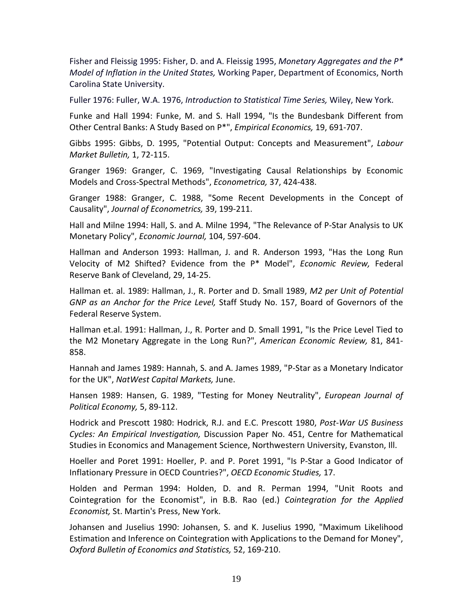Fisher and Fleissig 1995: Fisher, D. and A. Fleissig 1995, *Monetary Aggregates and the P\* Model of Inflation in the United States,* Working Paper, Department of Economics, North Carolina State University.

Fuller 1976: Fuller, W.A. 1976, *Introduction to Statistical Time Series,* Wiley, New York.

Funke and Hall 1994: Funke, M. and S. Hall 1994, "Is the Bundesbank Different from Other Central Banks: A Study Based on P\*", *Empirical Economics,* 19, 691‐707.

Gibbs 1995: Gibbs, D. 1995, "Potential Output: Concepts and Measurement", *Labour Market Bulletin,* 1, 72‐115.

Granger 1969: Granger, C. 1969, "Investigating Causal Relationships by Economic Models and Cross‐Spectral Methods", *Econometrica,* 37, 424‐438.

Granger 1988: Granger, C. 1988, "Some Recent Developments in the Concept of Causality", *Journal of Econometrics,* 39, 199‐211.

Hall and Milne 1994: Hall, S. and A. Milne 1994, "The Relevance of P‐Star Analysis to UK Monetary Policy", *Economic Journal,* 104, 597‐604.

Hallman and Anderson 1993: Hallman, J. and R. Anderson 1993, "Has the Long Run Velocity of M2 Shifted? Evidence from the P\* Model", *Economic Review,* Federal Reserve Bank of Cleveland, 29, 14‐25.

Hallman et. al. 1989: Hallman, J., R. Porter and D. Small 1989, *M2 per Unit of Potential GNP as an Anchor for the Price Level,* Staff Study No. 157, Board of Governors of the Federal Reserve System.

Hallman et.al. 1991: Hallman, J., R. Porter and D. Small 1991, "Is the Price Level Tied to the M2 Monetary Aggregate in the Long Run?", *American Economic Review,* 81, 841‐ 858.

Hannah and James 1989: Hannah, S. and A. James 1989, "P‐Star as a Monetary Indicator for the UK", *NatWest Capital Markets,* June.

Hansen 1989: Hansen, G. 1989, "Testing for Money Neutrality", *European Journal of Political Economy,* 5, 89‐112.

Hodrick and Prescott 1980: Hodrick, R.J. and E.C. Prescott 1980, *Post‐War US Business Cycles: An Empirical Investigation,* Discussion Paper No. 451, Centre for Mathematical Studies in Economics and Management Science, Northwestern University, Evanston, Ill. 

Hoeller and Poret 1991: Hoeller, P. and P. Poret 1991, "Is P‐Star a Good Indicator of Inflationary Pressure in OECD Countries?", *OECD Economic Studies,* 17.

Holden and Perman 1994: Holden, D. and R. Perman 1994, "Unit Roots and Cointegration for the Economist", in B.B. Rao (ed.) *Cointegration for the Applied Economist,* St. Martin's Press, New York. 

Johansen and Juselius 1990: Johansen, S. and K. Juselius 1990, "Maximum Likelihood Estimation and Inference on Cointegration with Applications to the Demand for Money", *Oxford Bulletin of Economics and Statistics,* 52, 169‐210.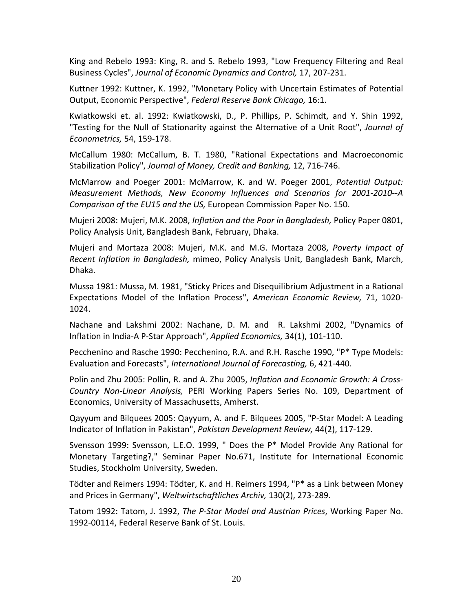King and Rebelo 1993: King, R. and S. Rebelo 1993, "Low Frequency Filtering and Real Business Cycles", *Journal of Economic Dynamics and Control,* 17, 207‐231.

Kuttner 1992: Kuttner, K. 1992, "Monetary Policy with Uncertain Estimates of Potential Output, Economic Perspective", *Federal Reserve Bank Chicago,* 16:1.

Kwiatkowski et. al. 1992: Kwiatkowski, D., P. Phillips, P. Schimdt, and Y. Shin 1992, "Testing for the Null of Stationarity against the Alternative of a Unit Root", *Journal of Econometrics,* 54, 159‐178.

McCallum 1980: McCallum, B. T. 1980, "Rational Expectations and Macroeconomic Stabilization Policy", *Journal of Money, Credit and Banking,* 12, 716‐746.

McMarrow and Poeger 2001: McMarrow, K. and W. Poeger 2001, *Potential Output: Measurement Methods, New Economy Influences and Scenarios for 2001‐2010‐‐A Comparison of the EU15 and the US,* European Commission Paper No. 150. 

Mujeri 2008: Mujeri, M.K. 2008, *Inflation and the Poor in Bangladesh,* Policy Paper 0801, Policy Analysis Unit, Bangladesh Bank, February, Dhaka.

Mujeri and Mortaza 2008: Mujeri, M.K. and M.G. Mortaza 2008, *Poverty Impact of Recent Inflation in Bangladesh,* mimeo, Policy Analysis Unit, Bangladesh Bank, March, Dhaka.

Mussa 1981: Mussa, M. 1981, "Sticky Prices and Disequilibrium Adjustment in a Rational Expectations Model of the Inflation Process", *American Economic Review,* 71, 1020‐ 1024.

Nachane and Lakshmi 2002: Nachane, D. M. and R. Lakshmi 2002, "Dynamics of Inflation in India‐A P‐Star Approach", *Applied Economics,* 34(1), 101‐110.

Pecchenino and Rasche 1990: Pecchenino, R.A. and R.H. Rasche 1990, "P\* Type Models: Evaluation and Forecasts", *International Journal of Forecasting,* 6, 421‐440.

Polin and Zhu 2005: Pollin, R. and A. Zhu 2005, *Inflation and Economic Growth: A Cross‐ Country Non‐Linear Analysis,* PERI Working Papers Series No. 109, Department of Economics, University of Massachusetts, Amherst.

Qayyum and Bilquees 2005: Qayyum, A. and F. Bilquees 2005, "P‐Star Model: A Leading Indicator of Inflation in Pakistan", *Pakistan Development Review,* 44(2), 117‐129.

Svensson 1999: Svensson, L.E.O. 1999, " Does the P\* Model Provide Any Rational for Monetary Targeting?," Seminar Paper No.671, Institute for International Economic Studies, Stockholm University, Sweden.

Tödter and Reimers 1994: Tödter, K. and H. Reimers 1994, "P\* as a Link between Money and Prices in Germany", *Weltwirtschaftliches Archiv,* 130(2), 273‐289.

Tatom 1992: Tatom, J. 1992, *The P‐Star Model and Austrian Prices*, Working Paper No. 1992‐00114, Federal Reserve Bank of St. Louis.